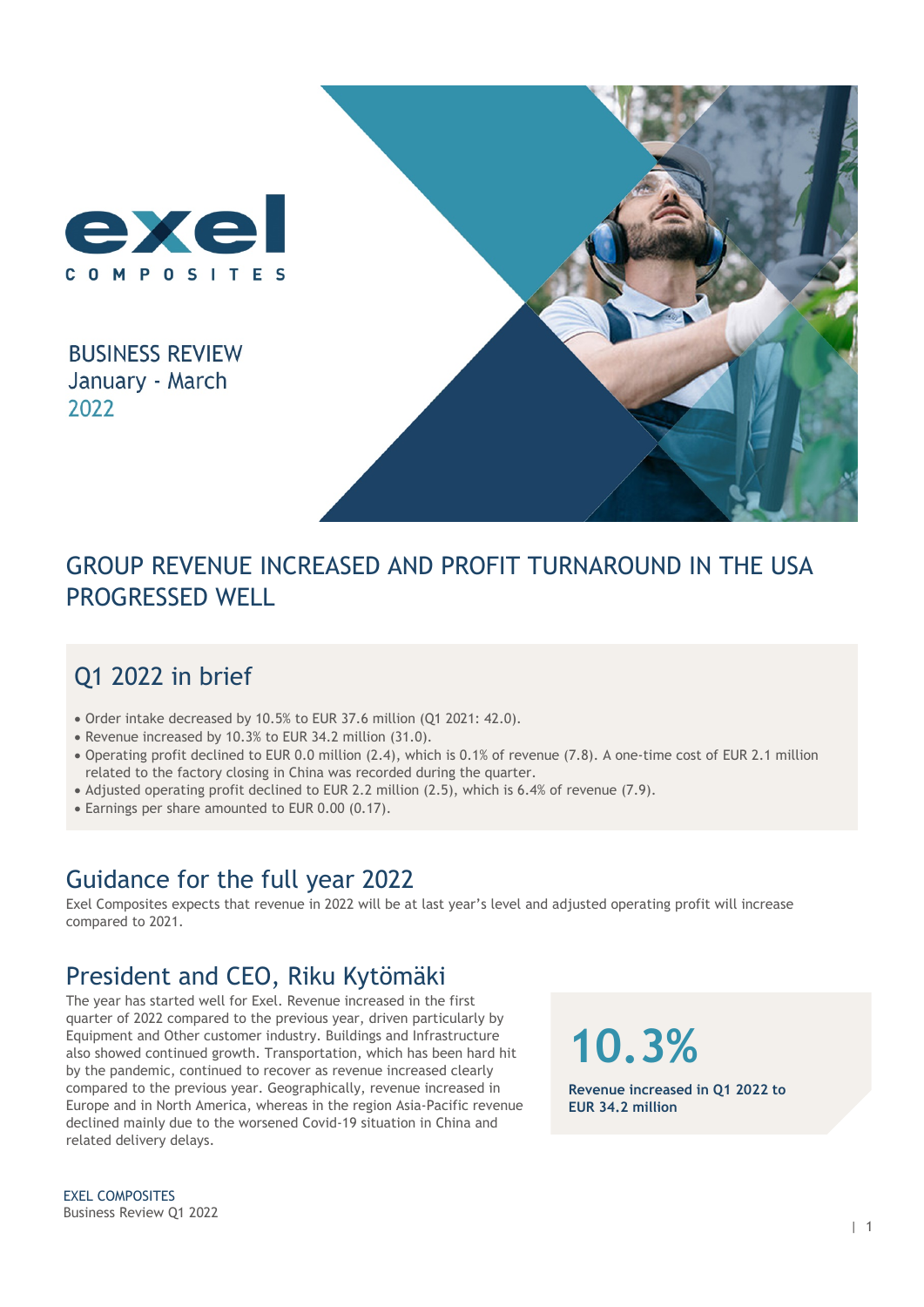

**BUSINESS REVIEW** January - March 2022



## GROUP REVENUE INCREASED AND PROFIT TURNAROUND IN THE USA PROGRESSED WELL

## Q1 2022 in brief

- Order intake decreased by 10.5% to EUR 37.6 million (Q1 2021: 42.0).
- Revenue increased by 10.3% to EUR 34.2 million (31.0).
- Operating profit declined to EUR 0.0 million (2.4), which is 0.1% of revenue (7.8). A one-time cost of EUR 2.1 million related to the factory closing in China was recorded during the quarter.
- Adjusted operating profit declined to EUR 2.2 million (2.5), which is 6.4% of revenue (7.9).
- Earnings per share amounted to EUR 0.00 (0.17).

### Guidance for the full year 2022

Exel Composites expects that revenue in 2022 will be at last year's level and adjusted operating profit will increase compared to 2021.

### President and CEO, Riku Kytömäki

The year has started well for Exel. Revenue increased in the first quarter of 2022 compared to the previous year, driven particularly by Equipment and Other customer industry. Buildings and Infrastructure also showed continued growth. Transportation, which has been hard hit by the pandemic, continued to recover as revenue increased clearly compared to the previous year. Geographically, revenue increased in Europe and in North America, whereas in the region Asia-Pacific revenue declined mainly due to the worsened Covid-19 situation in China and related delivery delays.

**10.3%**

**Revenue increased in Q1 2022 to EUR 34.2 million** 

EXEL COMPOSITES Business Review Q1 2022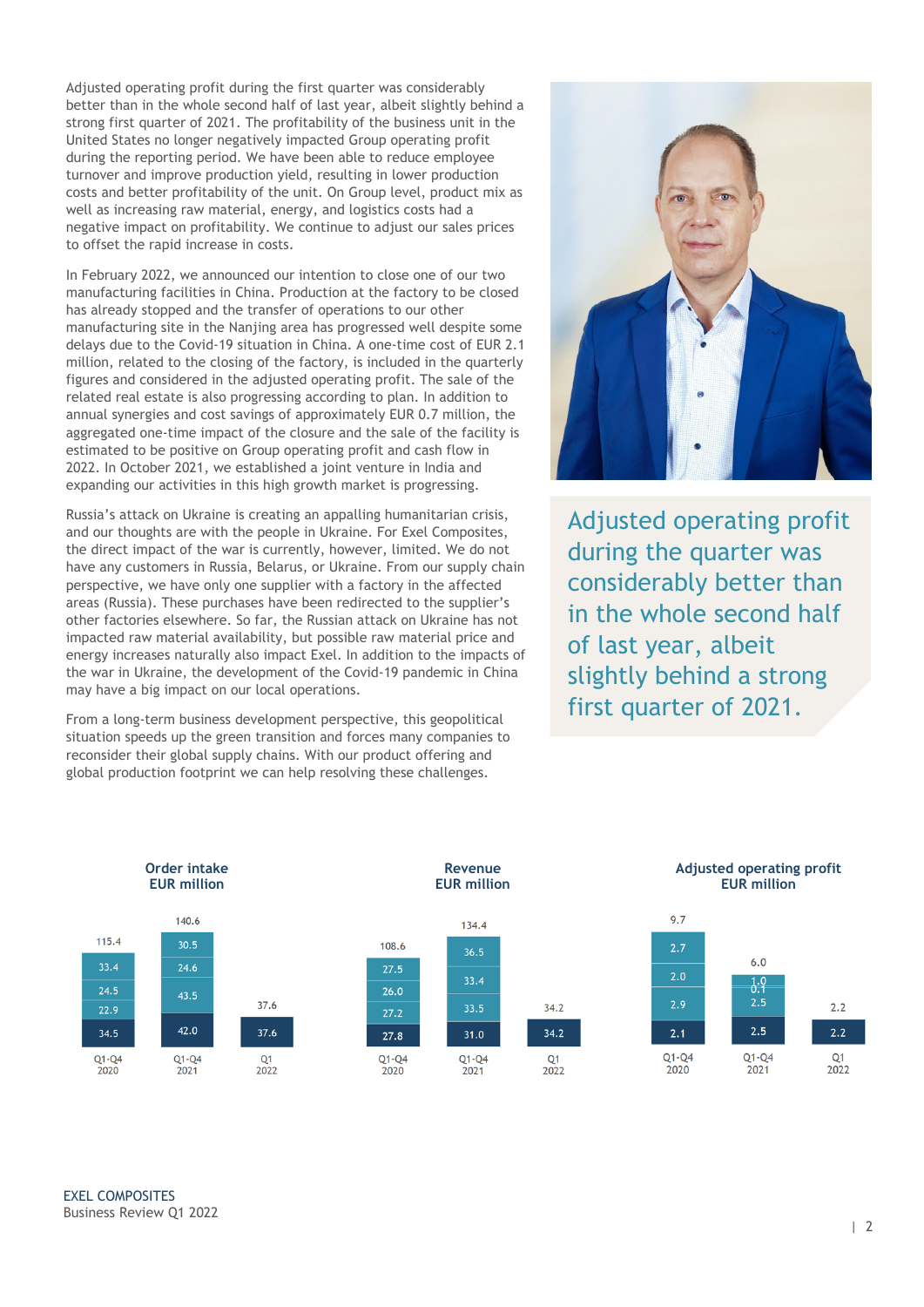Adjusted operating profit during the first quarter was considerably better than in the whole second half of last year, albeit slightly behind a strong first quarter of 2021. The profitability of the business unit in the United States no longer negatively impacted Group operating profit during the reporting period. We have been able to reduce employee turnover and improve production yield, resulting in lower production costs and better profitability of the unit. On Group level, product mix as well as increasing raw material, energy, and logistics costs had a negative impact on profitability. We continue to adjust our sales prices to offset the rapid increase in costs.

In February 2022, we announced our intention to close one of our two manufacturing facilities in China. Production at the factory to be closed has already stopped and the transfer of operations to our other manufacturing site in the Nanjing area has progressed well despite some delays due to the Covid-19 situation in China. A one-time cost of EUR 2.1 million, related to the closing of the factory, is included in the quarterly figures and considered in the adjusted operating profit. The sale of the related real estate is also progressing according to plan. In addition to annual synergies and cost savings of approximately EUR 0.7 million, the aggregated one-time impact of the closure and the sale of the facility is estimated to be positive on Group operating profit and cash flow in 2022. In October 2021, we established a joint venture in India and expanding our activities in this high growth market is progressing.

Russia's attack on Ukraine is creating an appalling humanitarian crisis, and our thoughts are with the people in Ukraine. For Exel Composites, the direct impact of the war is currently, however, limited. We do not have any customers in Russia, Belarus, or Ukraine. From our supply chain perspective, we have only one supplier with a factory in the affected areas (Russia). These purchases have been redirected to the supplier's other factories elsewhere. So far, the Russian attack on Ukraine has not impacted raw material availability, but possible raw material price and energy increases naturally also impact Exel. In addition to the impacts of the war in Ukraine, the development of the Covid-19 pandemic in China may have a big impact on our local operations.

From a long-term business development perspective, this geopolitical situation speeds up the green transition and forces many companies to reconsider their global supply chains. With our product offering and global production footprint we can help resolving these challenges.



Adjusted operating profit during the quarter was considerably better than in the whole second half of last year, albeit slightly behind a strong first quarter of 2021.

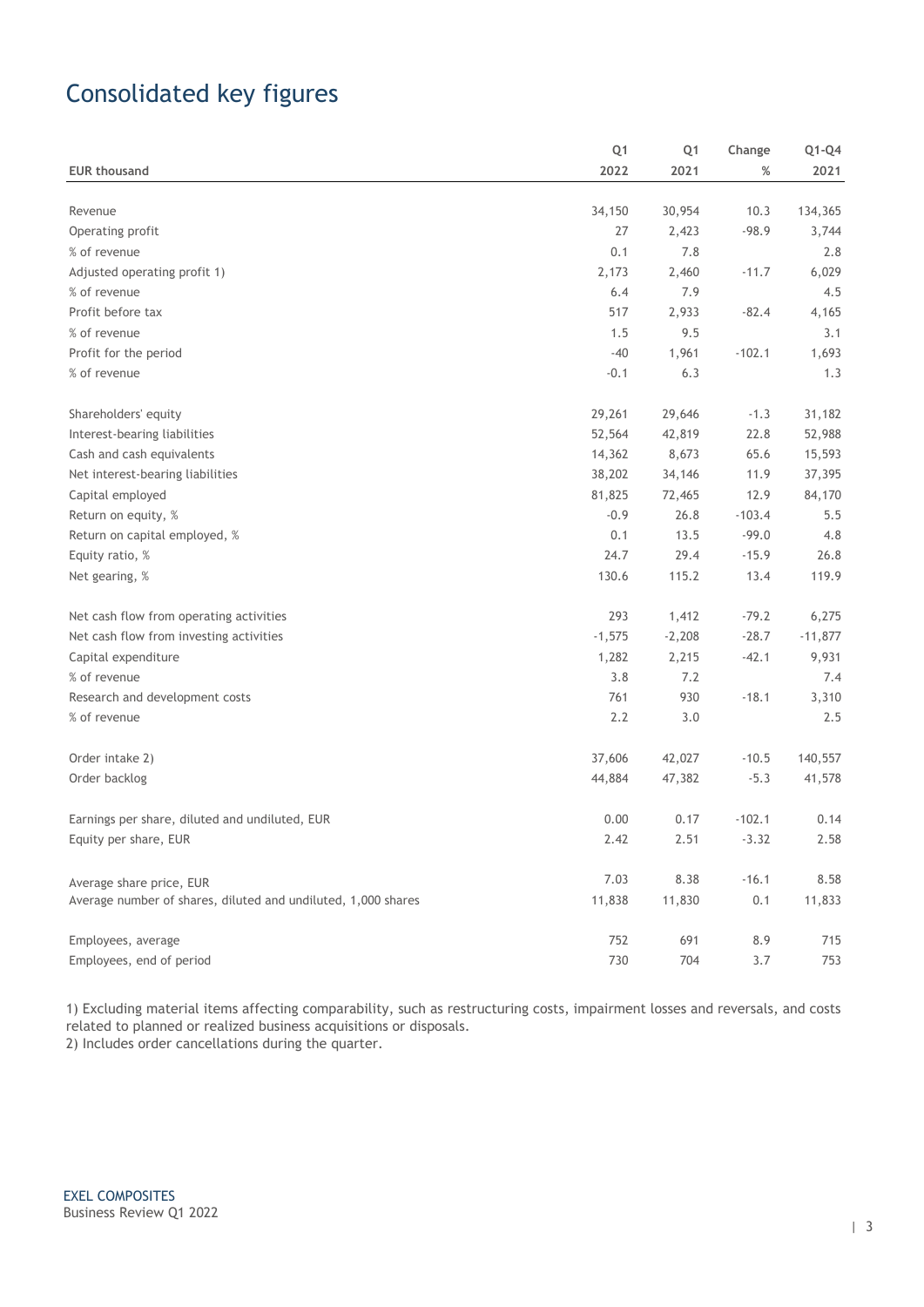# Consolidated key figures

|                                                               | Q <sub>1</sub> | Q <sub>1</sub> | Change   | $Q1-Q4$   |
|---------------------------------------------------------------|----------------|----------------|----------|-----------|
| <b>EUR thousand</b>                                           | 2022           | 2021           | %        | 2021      |
|                                                               |                |                |          |           |
| Revenue                                                       | 34,150         | 30,954         | 10.3     | 134,365   |
| Operating profit                                              | 27             | 2,423          | $-98.9$  | 3,744     |
| % of revenue                                                  | 0.1            | 7.8            |          | 2.8       |
| Adjusted operating profit 1)                                  | 2,173          | 2,460          | $-11.7$  | 6,029     |
| % of revenue                                                  | 6.4            | 7.9            |          | 4.5       |
| Profit before tax                                             | 517            | 2,933          | $-82.4$  | 4,165     |
| % of revenue                                                  | 1.5            | 9.5            |          | 3.1       |
| Profit for the period                                         | $-40$          | 1,961          | $-102.1$ | 1,693     |
| % of revenue                                                  | $-0.1$         | 6.3            |          | 1.3       |
| Shareholders' equity                                          | 29,261         | 29,646         | $-1.3$   | 31,182    |
| Interest-bearing liabilities                                  | 52,564         | 42,819         | 22.8     | 52,988    |
| Cash and cash equivalents                                     | 14,362         | 8,673          | 65.6     | 15,593    |
| Net interest-bearing liabilities                              | 38,202         | 34,146         | 11.9     | 37,395    |
| Capital employed                                              | 81,825         | 72,465         | 12.9     | 84,170    |
| Return on equity, %                                           | $-0.9$         | 26.8           | $-103.4$ | 5.5       |
| Return on capital employed, %                                 | 0.1            | 13.5           | $-99.0$  | 4.8       |
| Equity ratio, %                                               | 24.7           | 29.4           | $-15.9$  | 26.8      |
| Net gearing, %                                                | 130.6          | 115.2          | 13.4     | 119.9     |
| Net cash flow from operating activities                       | 293            | 1,412          | $-79.2$  | 6,275     |
| Net cash flow from investing activities                       | $-1,575$       | $-2,208$       | $-28.7$  | $-11,877$ |
| Capital expenditure                                           | 1,282          | 2,215          | $-42.1$  | 9,931     |
| % of revenue                                                  | 3.8            | 7.2            |          | 7.4       |
| Research and development costs                                | 761            | 930            | $-18.1$  | 3,310     |
| % of revenue                                                  | 2.2            | 3.0            |          | 2.5       |
| Order intake 2)                                               | 37,606         | 42,027         | $-10.5$  | 140,557   |
| Order backlog                                                 | 44,884         | 47,382         | $-5.3$   | 41,578    |
| Earnings per share, diluted and undiluted, EUR                | 0.00           | 0.17           | $-102.1$ | 0.14      |
| Equity per share, EUR                                         | 2.42           | 2.51           | $-3.32$  | 2.58      |
| Average share price, EUR                                      | 7.03           | 8.38           | $-16.1$  | 8.58      |
| Average number of shares, diluted and undiluted, 1,000 shares | 11,838         | 11,830         | 0.1      | 11,833    |
| Employees, average                                            | 752            | 691            | 8.9      | 715       |
| Employees, end of period                                      | 730            | 704            | 3.7      | 753       |

1) Excluding material items affecting comparability, such as restructuring costs, impairment losses and reversals, and costs related to planned or realized business acquisitions or disposals. 2) Includes order cancellations during the quarter.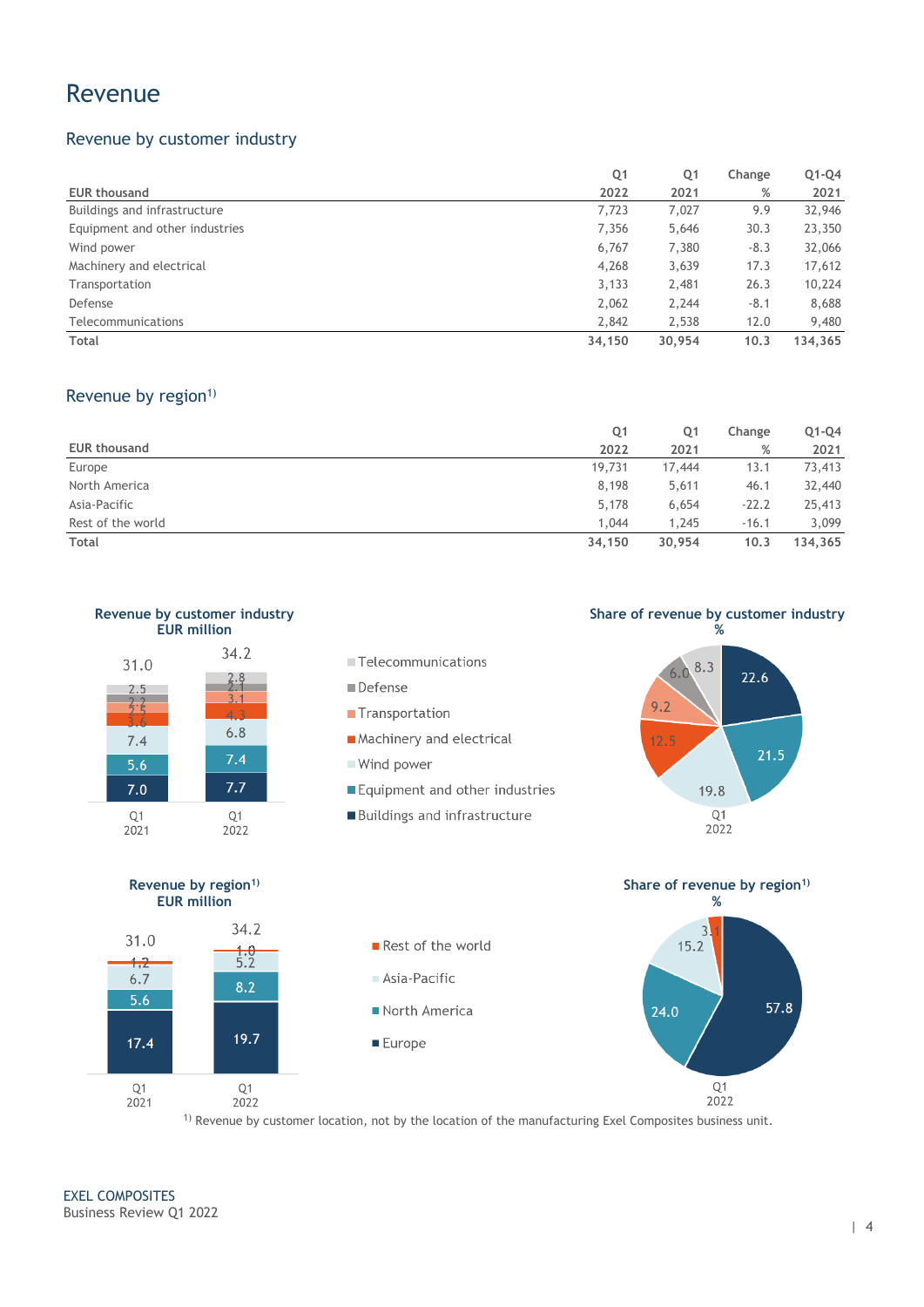### Revenue

### Revenue by customer industry

|                                | Q <sub>1</sub> | Q <sub>1</sub> | Change | $Q1-Q4$ |
|--------------------------------|----------------|----------------|--------|---------|
| <b>EUR thousand</b>            | 2022           | 2021           | %      | 2021    |
| Buildings and infrastructure   | 7,723          | 7,027          | 9.9    | 32,946  |
| Equipment and other industries | 7,356          | 5,646          | 30.3   | 23,350  |
| Wind power                     | 6,767          | 7,380          | $-8.3$ | 32,066  |
| Machinery and electrical       | 4,268          | 3,639          | 17.3   | 17,612  |
| Transportation                 | 3,133          | 2,481          | 26.3   | 10,224  |
| Defense                        | 2,062          | 2,244          | $-8.1$ | 8,688   |
| Telecommunications             | 2.842          | 2,538          | 12.0   | 9,480   |
| Total                          | 34,150         | 30,954         | 10.3   | 134,365 |

#### Revenue by region<sup>1)</sup>

|                     | Q1     | Q <sub>1</sub> | Change  | $Q1-Q4$ |
|---------------------|--------|----------------|---------|---------|
| <b>EUR thousand</b> | 2022   | 2021           | %       | 2021    |
| Europe              | 19,731 | 17,444         | 13.1    | 73,413  |
| North America       | 8,198  | 5,611          | 46.1    | 32,440  |
| Asia-Pacific        | 5,178  | 6,654          | $-22.2$ | 25,413  |
| Rest of the world   | 1,044  | 1,245          | $-16.1$ | 3,099   |
| Total               | 34,150 | 30.954         | 10.3    | 134.365 |



2022

1) Revenue by customer location, not by the location of the manufacturing Exel Composites business unit.

 $2021$ 

2022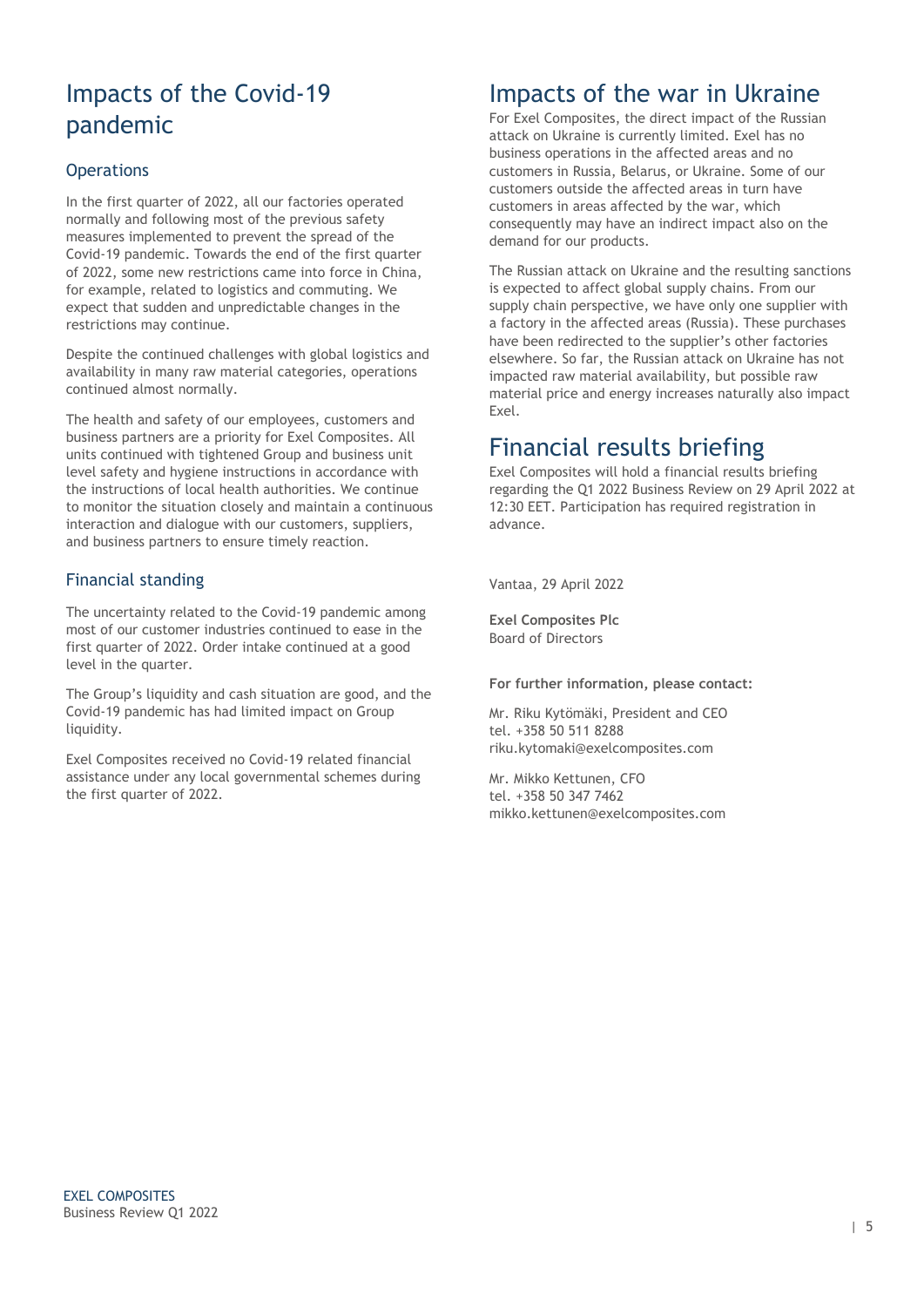## Impacts of the Covid-19 pandemic

#### **Operations**

In the first quarter of 2022, all our factories operated normally and following most of the previous safety measures implemented to prevent the spread of the Covid-19 pandemic. Towards the end of the first quarter of 2022, some new restrictions came into force in China, for example, related to logistics and commuting. We expect that sudden and unpredictable changes in the restrictions may continue.

Despite the continued challenges with global logistics and availability in many raw material categories, operations continued almost normally.

The health and safety of our employees, customers and business partners are a priority for Exel Composites. All units continued with tightened Group and business unit level safety and hygiene instructions in accordance with the instructions of local health authorities. We continue to monitor the situation closely and maintain a continuous interaction and dialogue with our customers, suppliers, and business partners to ensure timely reaction.

#### Financial standing

The uncertainty related to the Covid-19 pandemic among most of our customer industries continued to ease in the first quarter of 2022. Order intake continued at a good level in the quarter.

The Group's liquidity and cash situation are good, and the Covid-19 pandemic has had limited impact on Group liquidity.

Exel Composites received no Covid-19 related financial assistance under any local governmental schemes during the first quarter of 2022.

## Impacts of the war in Ukraine

For Exel Composites, the direct impact of the Russian attack on Ukraine is currently limited. Exel has no business operations in the affected areas and no customers in Russia, Belarus, or Ukraine. Some of our customers outside the affected areas in turn have customers in areas affected by the war, which consequently may have an indirect impact also on the demand for our products.

The Russian attack on Ukraine and the resulting sanctions is expected to affect global supply chains. From our supply chain perspective, we have only one supplier with a factory in the affected areas (Russia). These purchases have been redirected to the supplier's other factories elsewhere. So far, the Russian attack on Ukraine has not impacted raw material availability, but possible raw material price and energy increases naturally also impact Exel.

## Financial results briefing

Exel Composites will hold a financial results briefing regarding the Q1 2022 Business Review on 29 April 2022 at 12:30 EET. Participation has required registration in advance.

Vantaa, 29 April 2022

**Exel Composites Plc** Board of Directors

#### **For further information, please contact:**

Mr. Riku Kytömäki, President and CEO tel. +358 50 511 8288 riku.kytomaki@exelcomposites.com

Mr. Mikko Kettunen, CFO tel. +358 50 347 7462 mikko.kettunen@exelcomposites.com